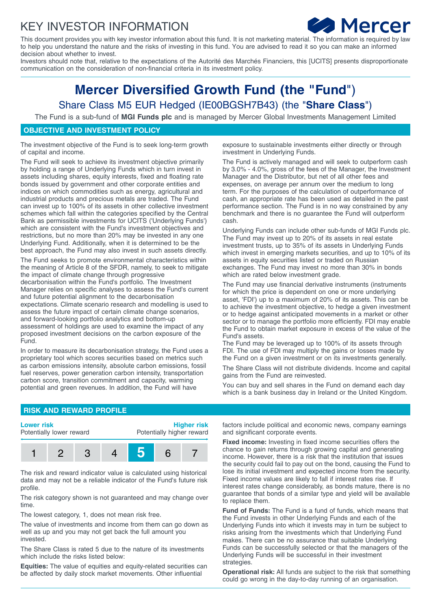## KEY INVESTOR INFORMATION



This document provides you with key investor information about this fund. It is not marketing material. The information is required by law to help you understand the nature and the risks of investing in this fund. You are advised to read it so you can make an informed decision about whether to invest.

Investors should note that, relative to the expectations of the Autorité des Marchés Financiers, this [UCITS] presents disproportionate communication on the consideration of non-financial criteria in its investment policy.

# **Mercer Diversified Growth Fund (the "Fund**") Share Class M5 EUR Hedged (IE00BGSH7B43) (the "**Share Class**")

The Fund is a sub-fund of **MGI Funds plc** and is managed by Mercer Global Investments Management Limited

#### **OBJECTIVE AND INVESTMENT POLICY**

The investment objective of the Fund is to seek long-term growth of capital and income.

The Fund will seek to achieve its investment objective primarily by holding a range of Underlying Funds which in turn invest in assets including shares, equity interests, fixed and floating rate bonds issued by government and other corporate entities and indices on which commodities such as energy, agricultural and industrial products and precious metals are traded. The Fund can invest up to 100% of its assets in other collective investment schemes which fall within the categories specified by the Central Bank as permissible investments for UCITS ('Underlying Funds') which are consistent with the Fund's investment objectives and restrictions, but no more than 20% may be invested in any one Underlying Fund. Additionally, when it is determined to be the best approach, the Fund may also invest in such assets directly.

The Fund seeks to promote environmental characteristics within the meaning of Article 8 of the SFDR, namely, to seek to mitigate the impact of climate change through progressive decarbonisation within the Fund's portfolio. The Investment Manager relies on specific analyses to assess the Fund's current and future potential alignment to the decarbonisation expectations. Climate scenario research and modelling is used to assess the future impact of certain climate change scenarios, and forward-looking portfolio analytics and bottom-up assessment of holdings are used to examine the impact of any proposed investment decisions on the carbon exposure of the **Fund.** 

In order to measure its decarbonisation strategy, the Fund uses a proprietary tool which scores securities based on metrics such as carbon emissions intensity, absolute carbon emissions, fossil fuel reserves, power generation carbon intensity, transportation carbon score, transition commitment and capacity, warming potential and green revenues. In addition, the Fund will have

exposure to sustainable investments either directly or through investment in Underlying Funds.

The Fund is actively managed and will seek to outperform cash by 3.0% - 4.0%, gross of the fees of the Manager, the Investment Manager and the Distributor, but net of all other fees and expenses, on average per annum over the medium to long term. For the purposes of the calculation of outperformance of cash, an appropriate rate has been used as detailed in the past performance section. The Fund is in no way constrained by any benchmark and there is no guarantee the Fund will outperform cash.

Underlying Funds can include other sub-funds of MGI Funds plc. The Fund may invest up to 20% of its assets in real estate investment trusts, up to 35% of its assets in Underlying Funds which invest in emerging markets securities, and up to 10% of its assets in equity securities listed or traded on Russian exchanges. The Fund may invest no more than 30% in bonds which are rated below investment grade.

The Fund may use financial derivative instruments (instruments for which the price is dependent on one or more underlying asset, 'FDI') up to a maximum of 20% of its assets. This can be to achieve the investment objective, to hedge a given investment or to hedge against anticipated movements in a market or other sector or to manage the portfolio more efficiently. FDI may enable the Fund to obtain market exposure in excess of the value of the Fund's assets.

The Fund may be leveraged up to 100% of its assets through FDI. The use of FDI may multiply the gains or losses made by the Fund on a given investment or on its investments generally.

The Share Class will not distribute dividends. Income and capital gains from the Fund are reinvested.

You can buy and sell shares in the Fund on demand each day which is a bank business day in Ireland or the United Kingdom.

#### **RISK AND REWARD PROFILE**



The risk and reward indicator value is calculated using historical data and may not be a reliable indicator of the Fund's future risk profile.

The risk category shown is not guaranteed and may change over time.

The lowest category, 1, does not mean risk free.

The value of investments and income from them can go down as well as up and you may not get back the full amount you invested.

The Share Class is rated 5 due to the nature of its investments which include the risks listed below:

**Equities:** The value of equities and equity-related securities can be affected by daily stock market movements. Other influential

factors include political and economic news, company earnings and significant corporate events.

**Fixed income:** Investing in fixed income securities offers the chance to gain returns through growing capital and generating income. However, there is a risk that the institution that issues the security could fail to pay out on the bond, causing the Fund to lose its initial investment and expected income from the security. Fixed income values are likely to fall if interest rates rise. If interest rates change considerably, as bonds mature, there is no guarantee that bonds of a similar type and yield will be available to replace them.

**Fund of Funds:** The Fund is a fund of funds, which means that the Fund invests in other Underlying Funds and each of the Underlying Funds into which it invests may in turn be subject to risks arising from the investments which that Underlying Fund makes. There can be no assurance that suitable Underlying Funds can be successfully selected or that the managers of the Underlying Funds will be successful in their investment strategies.

**Operational risk:** All funds are subject to the risk that something could go wrong in the day-to-day running of an organisation.